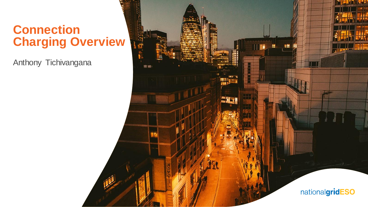#### **Connection Charging Overview**

Anthony Tichivangana

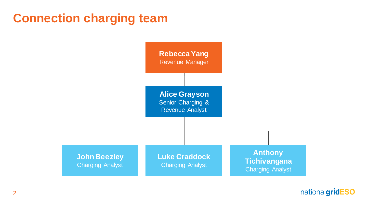### **Connection charging team**

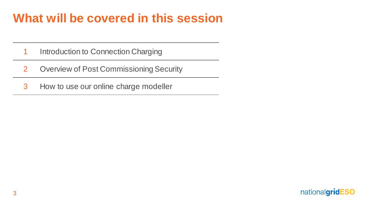# **What will be covered in this session**

- 1 Introduction to Connection Charging
- 2 Overview of Post Commissioning Security
- 3 How to use our online charge modeller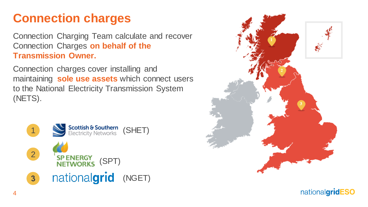# **Connection charges**

Connection Charging Team calculate and recover Connection Charges **on behalf of the Transmission Owner.** 

Connection charges cover installing and maintaining **sole use assets** which connect users to the National Electricity Transmission System (NETS).



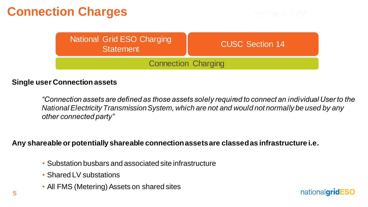# **Connection Charges**

| National Grid ESO Charging<br><b>Statement</b> | <b>CUSC Section 14</b> |  |  |  |
|------------------------------------------------|------------------------|--|--|--|
| <b>Connection Charging</b>                     |                        |  |  |  |

#### **Single user Connection assets**

*"Connection assets are defined as those assets solely required to connect an individual User to the National Electricity Transmission System, which are not and would not normally be used by any other connected party"*

#### **Any shareable or potentially shareable connection assets are classed as infrastructure i.e.**

- Substation busbars and associated site infrastructure
- Shared LV substations
- All FMS (Metering) Assets on shared sites

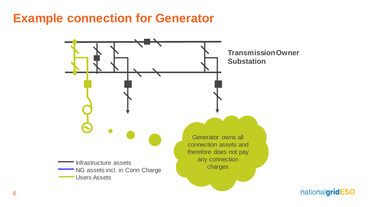#### **Example connection for Generator**

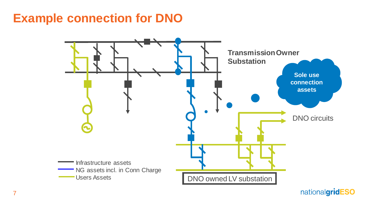### **Example connection for DNO**

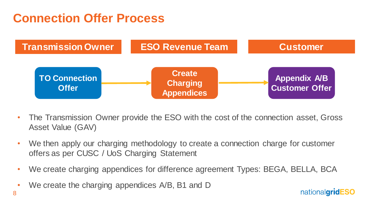### **Connection Offer Process**



- The Transmission Owner provide the ESO with the cost of the connection asset, Gross Asset Value (GAV)
- We then apply our charging methodology to create a connection charge for customer offers as per CUSC / UoS Charging Statement
- We create charging appendices for difference agreement Types: BEGA, BELLA, BCA
- We create the charging appendices A/B, B1 and D

8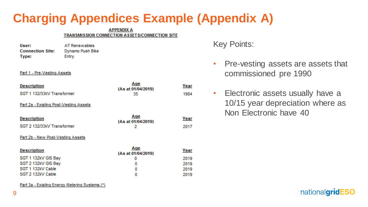# **Charging Appendices Example (Appendix A)**

#### **APPENDIX A TRANSMISSION CONNECTION ASSETS/CONNECTION SITE**

| User:                   | AT Renewables    |  |  |  |  |
|-------------------------|------------------|--|--|--|--|
| <b>Connection Site:</b> | Dynamo Push Bike |  |  |  |  |
| Type:                   | Entry            |  |  |  |  |

#### Part 1 - Pre-Vesting Assets

| <b>Description</b>                     | Aqe<br>(As at 01/04/2019) | Year |
|----------------------------------------|---------------------------|------|
| SGT 1 132/33kV Transformer             | 35                        | 1984 |
| Part 2a - Existing Post-Vesting Assets |                           |      |
| <b>Description</b>                     | Age<br>(As at 01/04/2019) | Year |
| SGT 2 132/33kV Transformer             | 2                         | 2017 |
| Part 2b - New Post-Vesting Assets      |                           |      |
| <b>Description</b>                     | Age<br>(As at 01/04/2019) | Year |
| SGT 1 132kV GIS Bay                    | 0                         | 2019 |
| SGT 2 132kV GIS Bay                    | ٥                         | 2019 |
| SGT 1 132kV Cable                      | ٥                         | 2019 |
| SGT 2 132kV Cable                      | 0                         | 2019 |

Part 3a - Existing Energy Metering Systems (\*)

Key Points:

- Pre-vesting assets are assets that commissioned pre 1990
- Electronic assets usually have a 10/15 year depreciation where as Non Electronic have 40

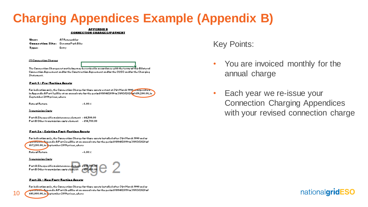### **Charging Appendices Example (Appendix B)**

#### **APPENDIX B CONNECTION CHARGESIPATHENT**

Urer: **AT Renewables** Connection Site: DynamoPurkBike Tree: Entry

#### (1) Cannection Charger

The Cannection Charger retaut below may be revired in accordance with the terms of this Bilateral Cannection Agreement and/or the Canrtruction Agreement and/or the CUSC and/or the Charging Statement.

#### Part 1 - Pre-Terting Arretr

Far indication only, the Connection Charge for thare arretr extant at 3 trt March 1990 and received in Appendix A Part 1 will be at an annual rate for the period 01/04/2019 to 31/03/2020 of £19,200.00, in September 2019 prices, where

 $-6.00 \times$ 

Rate of Return

#### **Transmission Carts**

Part A Sitespecific maintenance element - £4,500.00 Part B Other transmission casts element - £14,700.00

#### Part 2a - Exirtina Part-Tertina Arretr

Far indication anly, the Cannection Charge for thare arretr installed after 3 Ist March 1990 and as o curio a magon dix A P art 2 a will be at an annual rate for the period 01/04/2019 to 31/03/2020 of ويستعملنا وعربون £67,200.00, in September 2019 prices, where

Rate of Return

 $-6.00 \times$ 

#### **Transmission Carts**

10



#### <u> Part 21 - New Part-Tertina Arretr</u>

Far indication anly, the Cannection Charge for thare arretr inrtalled after 3 Irt March 1990 and ar <del>sportific dim A</del>ppondix A P art 2b will bo at an annual rato far tho poriad 01/04/2019 ta 31/03/2020 af £48,000.00, in September 2019 prices, where

Key Points:

- You are invoiced monthly for the annual charge
- Each year we re-issue your Connection Charging Appendices with your revised connection charge

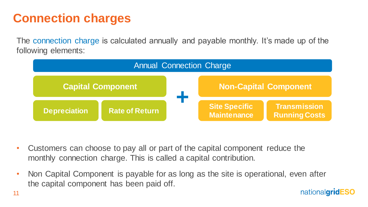# **Connection charges**

The connection charge is calculated annually and payable monthly. It's made up of the following elements:



- Customers can choose to pay all or part of the capital component reduce the monthly connection charge. This is called a capital contribution.
- Non Capital Component is payable for as long as the site is operational, even after the capital component has been paid off.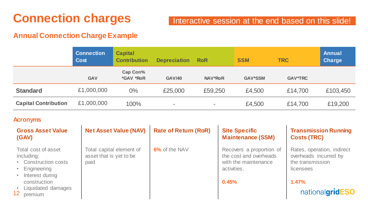# **Connection charges**

#### Interactive session at the end based on this slide!

#### **Annual Connection Charge Example**

|                             | <b>Connection</b><br>Cost | <b>Capital</b><br><b>Contribution</b> | <b>Depreciation</b>      | <b>RoR</b>               | <b>SSM</b>     | <b>TRC</b>     | Annual<br><b>Charge</b> |
|-----------------------------|---------------------------|---------------------------------------|--------------------------|--------------------------|----------------|----------------|-------------------------|
|                             | <b>GAV</b>                | Cap Con%<br><i><b>*GAV *RoR</b></i>   | <b>GAV/40</b>            | <b>NAV*RoR</b>           | <b>GAV*SSM</b> | <b>GAV*TRC</b> |                         |
| <b>Standard</b>             | £1,000,000                | 0%                                    | £25,000                  | £59,250                  | £4,500         | £14,700        | £103,450                |
| <b>Capital Contribution</b> | £1,000,000                | 100%                                  | $\overline{\phantom{0}}$ | $\overline{\phantom{0}}$ | £4,500         | £14,700        | £19,200                 |

#### **Acronyms**

| <b>Gross Asset Value</b><br>(GAV)                                                                                                                                    | <b>Net Asset Value (NAV)</b>                                | <b>Rate of Return (RoR)</b> | <b>Site Specific</b><br><b>Maintenance (SSM)</b>                                                   | <b>Transmission Running</b><br><b>Costs (TRC)</b>                                                                |
|----------------------------------------------------------------------------------------------------------------------------------------------------------------------|-------------------------------------------------------------|-----------------------------|----------------------------------------------------------------------------------------------------|------------------------------------------------------------------------------------------------------------------|
| Total cost of asset<br>including:<br><b>Construction costs</b><br>Engineering<br>Interest during<br>construction<br>Liquidated damages<br>12 <sup>°</sup><br>premium | Total capital element of<br>asset that is yet to be<br>paid | 6% of the NAV               | Recovers a proportion of<br>the cost and overheads<br>with the maintenance<br>activities.<br>0.45% | Rates, operation, indirect<br>overheads incurred by<br>the transmission<br>licensees<br>1.47%<br>nationalgridESO |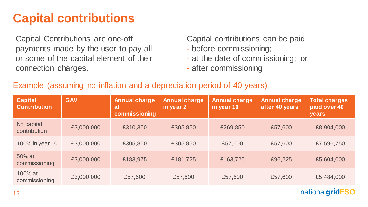## **Capital contributions**

Capital Contributions are one-off payments made by the user to pay all or some of the capital element of their connection charges.

Capital contributions can be paid

- before commissioning;
- at the date of commissioning; or
- after commissioning

#### Example (assuming no inflation and a depreciation period of 40 years)

| <b>Capital</b><br><b>Contribution</b> | <b>GAV</b> | <b>Annual charge</b><br>at<br>commissioning | <b>Annual charge</b><br>in year 2 | <b>Annual charge</b><br>in year 10 | <b>Annual charge</b><br>after 40 years | <b>Total charges</b><br>paid over 40<br>years |
|---------------------------------------|------------|---------------------------------------------|-----------------------------------|------------------------------------|----------------------------------------|-----------------------------------------------|
| No capital<br>contribution            | £3,000,000 | £310,350                                    | £305,850                          | £269,850                           | £57,600                                | £8,904,000                                    |
| 100% in year 10                       | £3,000,000 | £305,850                                    | £305,850                          | £57,600                            | £57,600                                | £7,596,750                                    |
| 50% at<br>commissioning               | £3,000,000 | £183,975                                    | £181,725                          | £163,725                           | £96,225                                | £5,604,000                                    |
| 100% at<br>commissioning              | £3,000,000 | £57,600                                     | £57,600                           | £57,600                            | £57,600                                | £5,484,000                                    |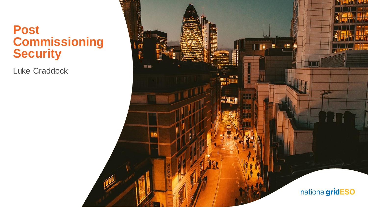#### **Post Commissioning Security**

Luke Craddock

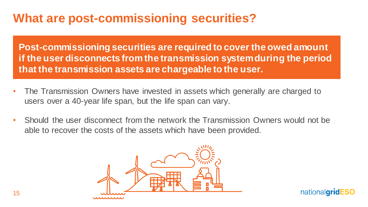### **What are post-commissioning securities?**

**Post-commissioning securities are required to cover the owed amount if the user disconnects from the transmission system during the period that the transmission assets are chargeable to the user.**

- The Transmission Owners have invested in assets which generally are charged to users over a 40-year life span, but the life span can vary.
- Should the user disconnect from the network the Transmission Owners would not be able to recover the costs of the assets which have been provided.

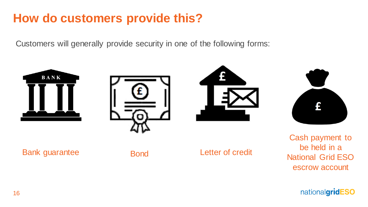# **How do customers provide this?**

Customers will generally provide security in one of the following forms:

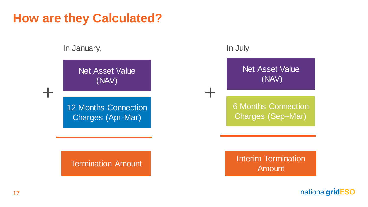#### **How are they Calculated?**

#### In January, In July,

+

Net Asset Value (NAV)

12 Months Connection Charges (Apr-Mar)

+

Net Asset Value (NAV)

6 Months Connection Charges (Sep–Mar)

Termination Amount **Interim Termination** Amount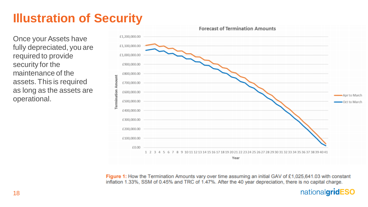# **Illustration of Security**

Once your Assets have fully depreciated, you are required to provide security for the maintenance of the assets. This is required as long as the assets are operational.



Figure 1: How the Termination Amounts vary over time assuming an initial GAV of £1,025,641.03 with constant inflation 1.33%, SSM of 0.45% and TRC of 1.47%. After the 40 year depreciation, there is no capital charge.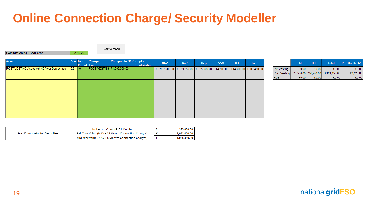# **Online Connection Charge/ Security Modeller**

**Commissioning Fiscal Year** 2019-20 Back to menu

| <b>Asset</b>                                        | Age Dep | Period Type | Charge                     | <b>Chargeable GAV Capital</b> | <b>Contribution</b> | <b>NAV</b>                               | <b>RoR</b> | Dep | <b>SSM</b> | <b>TCF</b>                      | Total |
|-----------------------------------------------------|---------|-------------|----------------------------|-------------------------------|---------------------|------------------------------------------|------------|-----|------------|---------------------------------|-------|
| POST VESTING Asset with 40 Year Depreciation 0.5 40 |         |             | POST VESTING £1,000,000.00 |                               |                     | £ 987,500.00   £ 59,250.00   £ 25,000.00 |            |     |            | £4,500.00 £14,700.00 £103,450.0 |       |
|                                                     |         |             |                            |                               |                     |                                          |            |     |            |                                 |       |
|                                                     |         |             |                            |                               |                     |                                          |            |     |            |                                 |       |
|                                                     |         |             |                            |                               |                     |                                          |            |     |            |                                 |       |
|                                                     |         |             |                            |                               |                     |                                          |            |     |            |                                 |       |
|                                                     |         |             |                            |                               |                     |                                          |            |     |            |                                 |       |
|                                                     |         |             |                            |                               |                     |                                          |            |     |            |                                 |       |
|                                                     |         |             |                            |                               |                     |                                          |            |     |            |                                 |       |
|                                                     |         |             |                            |                               |                     |                                          |            |     |            |                                 |       |
|                                                     |         |             |                            |                               |                     |                                          |            |     |            |                                 |       |
|                                                     |         |             |                            |                               |                     |                                          |            |     |            |                                 |       |
|                                                     |         |             |                            |                               |                     |                                          |            |     |            |                                 |       |

|                    | <b>SSM</b> | <b>TCF</b>           | <b>Total</b> | Per Month (12) |
|--------------------|------------|----------------------|--------------|----------------|
| <b>Pre Vesting</b> | £0.00      | £0.00                | £0.00        | £0.00          |
| Post Vesting       |            | £4.500.00 £14.700.00 | £103.450.00  | £8.620.83      |
| <b>FMS</b>         | £0.00      | £0.00                | £0.00        | £0.00          |

|                                      | Net Asset Value (At 31 March)                       |  | 975,000.00   |
|--------------------------------------|-----------------------------------------------------|--|--------------|
| <b>Post Commissioning Securities</b> | Full Year Value (NAV + 12 Month Connection Charges) |  | 1.078.450.00 |
|                                      | Mid Year Value (NAV + 6 Months Connection Charges)  |  | 1,026,350.00 |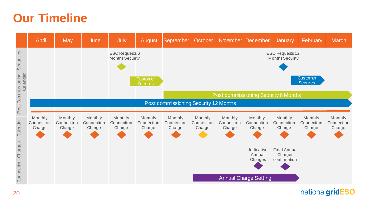#### **Our Timeline**

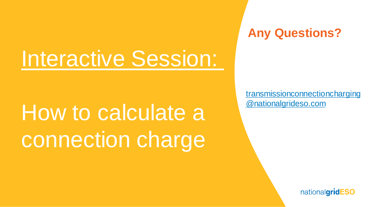# Interactive Session:

# How to calculate a connection charge

**Any Questions?**

[transmissionconnectioncharging](mailto:transmissionconnectioncharging@nationalgrideso.com) @nationalgrideso.com